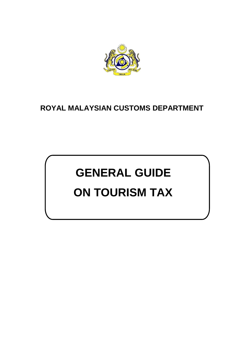

# **ROYAL MALAYSIAN CUSTOMS DEPARTMENT**

# **GENERAL GUIDE ON TOURISM TAX**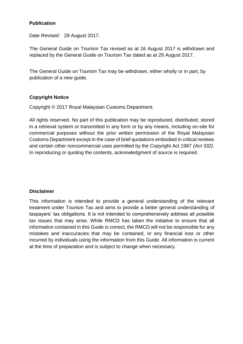#### **Publication**

Date Revised: 29 August 2017.

The General Guide on Tourism Tax revised as at 16 August 2017 is withdrawn and replaced by the General Guide on Tourism Tax dated as at 29 August 2017.

The General Guide on Tourism Tax may be withdrawn, either wholly or in part, by publication of a new guide.

### **Copyright Notice**

Copyright © 2017 Royal Malaysian Customs Department.

All rights reserved. No part of this publication may be reproduced, distributed, stored in a retrieval system or transmitted in any form or by any means, including on-site for commercial purposes without the prior written permission of the Royal Malaysian Customs Department except in the case of brief quotations embodied in critical reviews and certain other noncommercial uses permitted by the Copyright Act 1987 *(Act 332).* In reproducing or quoting the contents, acknowledgment of source is required.

#### **Disclaimer**

This information is intended to provide a general understanding of the relevant treatment under Tourism Tax and aims to provide a better general understanding of taxpayers' tax obligations. It is not intended to comprehensively address all possible tax issues that may arise. While RMCD has taken the initiative to ensure that all information contained in this Guide is correct, the RMCD will not be responsible for any mistakes and inaccuracies that may be contained, or any financial loss or other incurred by individuals using the information from this Guide. All information is current at the time of preparation and is subject to change when necessary.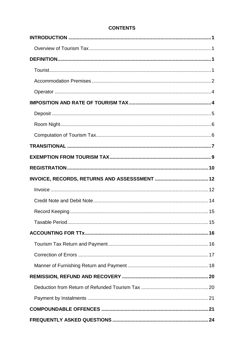# **CONTENTS**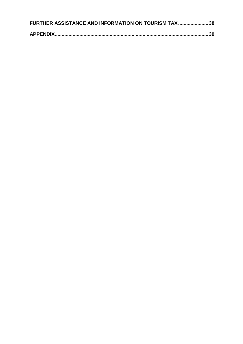| FURTHER ASSISTANCE AND INFORMATION ON TOURISM TAX38 |  |
|-----------------------------------------------------|--|
|                                                     |  |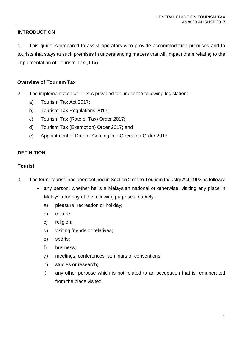# <span id="page-4-0"></span>**INTRODUCTION**

1. This guide is prepared to assist operators who provide accommodation premises and to tourists that stays at such premises in understanding matters that will impact them relating to the implementation of Tourism Tax (TTx).

#### <span id="page-4-1"></span>**Overview of Tourism Tax**

- 2. The implementation of TTx is provided for under the following legislation:
	- a) Tourism Tax Act 2017;
	- b) Tourism Tax Regulations 2017;
	- c) Tourism Tax (Rate of Tax) Order 2017;
	- d) Tourism Tax (Exemption) Order 2017; and
	- e) Appointment of Date of Coming into Operation Order 2017

#### <span id="page-4-2"></span>**DEFINITION**

#### <span id="page-4-3"></span>**Tourist**

- 3. The term "tourist" has been defined in Section 2 of the Tourism Industry Act 1992 as follows:
	- any person, whether he is a Malaysian national or otherwise, visiting any place in Malaysia for any of the following purposes, namely-
		- a) pleasure, recreation or holiday;
		- b) culture;
		- c) religion;
		- d) visiting friends or relatives;
		- e) sports;
		- f) business;
		- g) meetings, conferences, seminars or conventions;
		- h) studies or research;
		- i) any other purpose which is not related to an occupation that is remunerated from the place visited.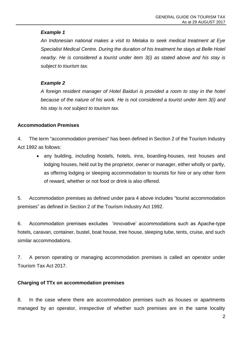*An Indonesian national makes a visit to Melaka to seek medical treatment at Eye Specialist Medical Centre. During the duration of his treatment he stays at Belle Hotel nearby. He is considered a tourist under item 3(i) as stated above and his stay is subject to tourism tax.*

#### *Example 2*

*A foreign resident manager of Hotel Baiduri is provided a room to stay in the hotel because of the nature of his work. He is not considered a tourist under item 3(i) and his stay is not subject to tourism tax.*

#### <span id="page-5-0"></span>**Accommodation Premises**

4. The term "accommodation premises" has been defined in Section 2 of the Tourism Industry Act 1992 as follows:

 any building, including hostels, hotels, inns, boarding-houses, rest houses and lodging houses, held out by the proprietor, owner or manager, either wholly or partly, as offering lodging or sleeping accommodation to tourists for hire or any other form of reward, whether or not food or drink is also offered.

5. Accommodation premises as defined under para 4 above includes "tourist accommodation premises" as defined in Section 2 of the Tourism Industry Act 1992.

6. Accommodation premises excludes 'innovative' accommodations such as Apache-type hotels, caravan, container, bustel, boat house, tree house, sleeping tube, tents, cruise, and such similar accommodations.

7. A person operating or managing accommodation premises is called an operator under Tourism Tax Act 2017.

#### **Charging of TTx on accommodation premises**

8. In the case where there are accommodation premises such as houses or apartments managed by an operator, irrespective of whether such premises are in the same locality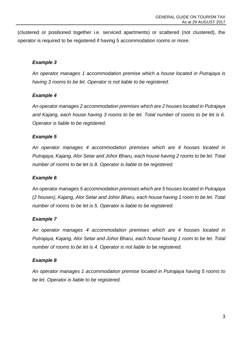(clustered or positioned together i.e. serviced apartments) or scattered (not clustered), the operator is required to be registered if having 5 accommodation rooms or more.

#### *Example 3*

*An operator manages 1 accommodation premise which a house located in Putrajaya is having 3 rooms to be let. Operator is not liable to be registered.*

#### *Example 4*

*An operator manages 2 accommodation premises which are 2 houses located in Putrajaya and Kajang, each house having 3 rooms to be let. Total number of rooms to be let is 6. Operator is liable to be registered.*

#### *Example 5*

*An operator manages 4 accommodation premises which are 4 houses located in Putrajaya, Kajang, Alor Setar and Johor Bharu, each house having 2 rooms to be let. Total number of rooms to be let is 8. Operator is liable to be registered.*

#### *Example 6*

*An operator manages 5 accommodation premises which are 5 houses located in Putrajaya (2 houses), Kajang, Alor Setar and Johor Bharu, each house having 1 room to be let. Total number of rooms to be let is 5. Operator is liable to be registered.*

#### *Example 7*

*An operator manages 4 accommodation premises which are 4 houses located in Putrajaya, Kajang, Alor Setar and Johor Bharu, each house having 1 room to be let. Total number of rooms to be let is 4. Operator is not liable to be registered.*

#### *Example 8*

*An operator manages 1 accommodation premise located in Putrajaya having 5 rooms to be let. Operator is liable to be registered.*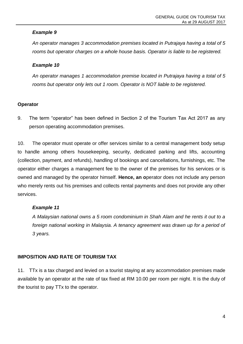*An operator manages 3 accommodation premises located in Putrajaya having a total of 5 rooms but operator charges on a whole house basis. Operator is liable to be registered.*

#### *Example 10*

*An operator manages 1 accommodation premise located in Putrajaya having a total of 5 rooms but operator only lets out 1 room. Operator is NOT liable to be registered.*

### <span id="page-7-0"></span>**Operator**

9. The term "operator" has been defined in Section 2 of the Tourism Tax Act 2017 as any person operating accommodation premises.

10. The operator must operate or offer services similar to a central management body setup to handle among others housekeeping, security, dedicated parking and lifts, accounting (collection, payment, and refunds), handling of bookings and cancellations, furnishings, etc. The operator either charges a management fee to the owner of the premises for his services or is owned and managed by the operator himself. **Hence, an o**perator does not include any person who merely rents out his premises and collects rental payments and does not provide any other services.

# *Example 11*

*A Malaysian national owns a 5 room condominium in Shah Alam and he rents it out to a*  foreign national working in Malaysia. A tenancy agreement was drawn up for a period of *3 years.*

# <span id="page-7-1"></span>**IMPOSITION AND RATE OF TOURISM TAX**

11. TTx is a tax charged and levied on a tourist staying at any accommodation premises made available by an operator at the rate of tax fixed at RM 10.00 per room per night. It is the duty of the tourist to pay TTx to the operator.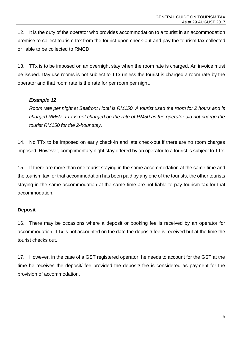12. It is the duty of the operator who provides accommodation to a tourist in an accommodation premise to collect tourism tax from the tourist upon check-out and pay the tourism tax collected or liable to be collected to RMCD.

13. TTx is to be imposed on an overnight stay when the room rate is charged. An invoice must be issued. Day use rooms is not subject to TTx unless the tourist is charged a room rate by the operator and that room rate is the rate for per room per night.

### *Example 12*

*Room rate per night at Seafront Hotel is RM150. A tourist used the room for 2 hours and is charged RM50. TTx is not charged on the rate of RM50 as the operator did not charge the tourist RM150 for the 2-hour stay.*

14. No TTx to be imposed on early check-in and late check-out if there are no room charges imposed. However, complimentary night stay offered by an operator to a tourist is subject to TTx.

15. If there are more than one tourist staying in the same accommodation at the same time and the tourism tax for that accommodation has been paid by any one of the tourists, the other tourists staying in the same accommodation at the same time are not liable to pay tourism tax for that accommodation.

#### <span id="page-8-0"></span>**Deposit**

16. There may be occasions where a deposit or booking fee is received by an operator for accommodation. TTx is not accounted on the date the deposit/ fee is received but at the time the tourist checks out.

17. However, in the case of a GST registered operator, he needs to account for the GST at the time he receives the deposit/ fee provided the deposit/ fee is considered as payment for the provision of accommodation.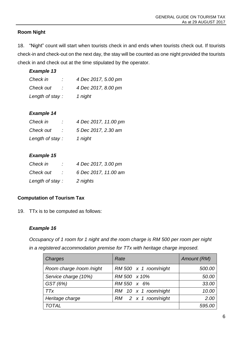# <span id="page-9-0"></span>**Room Night**

18. "Night" count will start when tourists check in and ends when tourists check out. If tourists check-in and check-out on the next day, the stay will be counted as one night provided the tourists check in and check out at the time stipulated by the operator.

### *Example 13*

| Check in        | 4 Dec 2017, 5.00 pm |
|-----------------|---------------------|
| Check out       | 4 Dec 2017, 8.00 pm |
| Length of stay: | 1 night             |

### *Example 14*

| Check in        | 4 Dec 2017, 11.00 pm |
|-----------------|----------------------|
| Check out       | 5 Dec 2017, 2.30 am  |
| Length of stay: | 1 night              |

# *Example 15*

| Check in        | 4 Dec 2017, 3.00 pm  |
|-----------------|----------------------|
| Check out       | 6 Dec 2017, 11.00 am |
| Length of stay: | 2 nights             |

# <span id="page-9-1"></span>**Computation of Tourism Tax**

19. TTx is to be computed as follows:

#### *Example 16*

*Occupancy of 1 room for 1 night and the room charge is RM 500 per room per night in a registered accommodation premise for TTx with heritage charge imposed.*

| Charges                  | Rate                         | Amount (RM) |
|--------------------------|------------------------------|-------------|
| Room charge /room /night | RM 500 $\times$ 1 room/night | 500.00      |
| Service charge (10%)     | RM 500 x 10%                 | 50.00       |
| GST (6%)                 | RM 550 x 6%                  | 33.00       |
| <b>TTx</b>               | RM 10 x 1 room/night         | 10.00       |
| Heritage charge          | $RM$ 2 x 1 room/night        | 2.00        |
| <b>TOTAL</b>             |                              | 595.00      |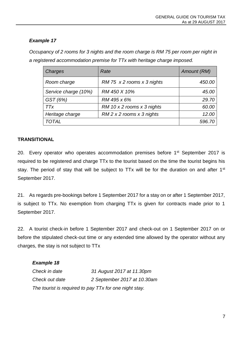*Occupancy of 2 rooms for 3 nights and the room charge is RM 75 per room per night in a registered accommodation premise for TTx with heritage charge imposed.*

| Charges              | Rate                        | Amount (RM) |
|----------------------|-----------------------------|-------------|
| Room charge          | RM 75 x 2 rooms x 3 nights  | 450.00      |
| Service charge (10%) | RM 450 X 10%                | 45.00       |
| GST (6%)             | RM 495 x 6%                 | 29.70       |
| <b>TTx</b>           | RM 10 x 2 rooms x 3 nights  | 60.00       |
| Heritage charge      | $RM$ 2 x 2 rooms x 3 nights | 12.00       |
| <b>TOTAL</b>         |                             | 596.70      |

#### <span id="page-10-0"></span>**TRANSITIONAL**

20. Every operator who operates accommodation premises before 1<sup>st</sup> September 2017 is required to be registered and charge TTx to the tourist based on the time the tourist begins his stay. The period of stay that will be subject to TTx will be for the duration on and after 1<sup>st</sup> September 2017.

21. As regards pre-bookings before 1 September 2017 for a stay on or after 1 September 2017, is subject to TTx. No exemption from charging TTx is given for contracts made prior to 1 September 2017.

22. A tourist check-in before 1 September 2017 and check-out on 1 September 2017 on or before the stipulated check-out time or any extended time allowed by the operator without any charges, the stay is not subject to TTx

| <b>Example 18</b> |                                                        |
|-------------------|--------------------------------------------------------|
| Check in date     | 31 August 2017 at 11.30pm                              |
| Check out date    | 2 September 2017 at 10.30am                            |
|                   | The tourist is required to pay TTx for one night stay. |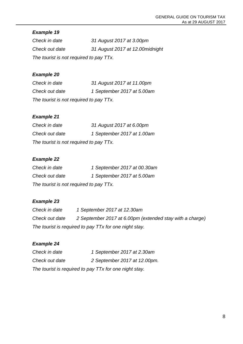*Check in date 31 August 2017 at 3.00pm Check out date 31 August 2017 at 12.00midnight The tourist is not required to pay TTx.*

# *Example 20*

*Check in date 31 August 2017 at 11.00pm Check out date 1 September 2017 at 5.00am The tourist is not required to pay TTx.*

# *Example 21*

| Check in date                           | 31 August 2017 at 6.00pm   |  |
|-----------------------------------------|----------------------------|--|
| Check out date                          | 1 September 2017 at 1.00am |  |
| The tourist is not required to pay TTx. |                            |  |

# *Example 22*

| Check in date                           | 1 September 2017 at 00.30am |  |
|-----------------------------------------|-----------------------------|--|
| Check out date                          | 1 September 2017 at 5.00am  |  |
| The tourist is not required to pay TTx. |                             |  |

# *Example 23*

| Check in date                                          | 1 September 2017 at 12.30am                              |  |
|--------------------------------------------------------|----------------------------------------------------------|--|
| Check out date                                         | 2 September 2017 at 6.00pm (extended stay with a charge) |  |
| The tourist is required to pay TTx for one night stay. |                                                          |  |

# *Example 24*

| Check in date                                          | 1 September 2017 at 2.30am   |
|--------------------------------------------------------|------------------------------|
| Check out date                                         | 2 September 2017 at 12.00pm. |
| The tourist is required to pay TTx for one night stay. |                              |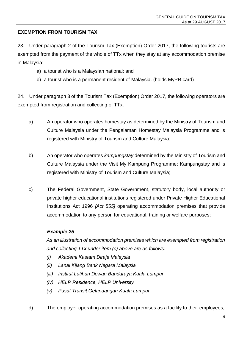# <span id="page-12-0"></span>**EXEMPTION FROM TOURISM TAX**

23. Under paragraph 2 of the Tourism Tax (Exemption) Order 2017, the following tourists are exempted from the payment of the whole of TTx when they stay at any accommodation premise in Malaysia:

- a) a tourist who is a Malaysian national; and
- b) a tourist who is a permanent resident of Malaysia. (holds MyPR card)

24. Under paragraph 3 of the Tourism Tax (Exemption) Order 2017, the following operators are exempted from registration and collecting of TTx:

- a) An operator who operates homestay as determined by the Ministry of Tourism and Culture Malaysia under the Pengalaman Homestay Malaysia Programme and is registered with Ministry of Tourism and Culture Malaysia;
- b) An operator who operates *kampungstay* determined by the Ministry of Tourism and Culture Malaysia under the Visit My Kampung Programme: Kampungstay and is registered with Ministry of Tourism and Culture Malaysia;
- c) The Federal Government, State Government, statutory body, local authority or private higher educational institutions registered under Private Higher Educational Institutions Act 1996 *[Act 555]* operating accommodation premises that provide accommodation to any person for educational, training or welfare purposes;

#### *Example 25*

*As an illustration of accommodation premises which are exempted from registration and collecting TTx under item (c) above are as follows:*

- *(i) Akademi Kastam Diraja Malaysia*
- *(ii) Lanai Kijang Bank Negara Malaysia*
- *(iii) Institut Latihan Dewan Bandaraya Kuala Lumpur*
- *(iv) HELP Residence, HELP University*
- *(v) Pusat Transit Gelandangan Kuala Lumpur*

d) The employer operating accommodation premises as a facility to their employees;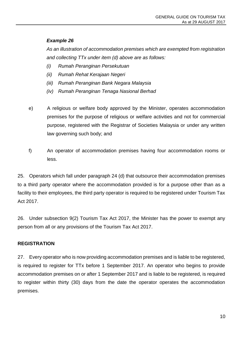*As an illustration of accommodation premises which are exempted from registration and collecting TTx under item (d) above are as follows:*

- *(i) Rumah Peranginan Persekutuan*
- *(ii) Rumah Rehat Kerajaan Negeri*
- *(iii) Rumah Peranginan Bank Negara Malaysia*
- *(iv) Rumah Peranginan Tenaga Nasional Berhad*
- e) A religious or welfare body approved by the Minister, operates accommodation premises for the purpose of religious or welfare activities and not for commercial purpose, registered with the Registrar of Societies Malaysia or under any written law governing such body; and
- f) An operator of accommodation premises having four accommodation rooms or less.

25. Operators which fall under paragraph 24 (d) that outsource their accommodation premises to a third party operator where the accommodation provided is for a purpose other than as a facility to their employees, the third party operator is required to be registered under Tourism Tax Act 2017.

26. Under subsection 9(2) Tourism Tax Act 2017, the Minister has the power to exempt any person from all or any provisions of the Tourism Tax Act 2017.

#### <span id="page-13-0"></span>**REGISTRATION**

27. Every operator who is now providing accommodation premises and is liable to be registered, is required to register for TTx before 1 September 2017. An operator who begins to provide accommodation premises on or after 1 September 2017 and is liable to be registered, is required to register within thirty (30) days from the date the operator operates the accommodation premises.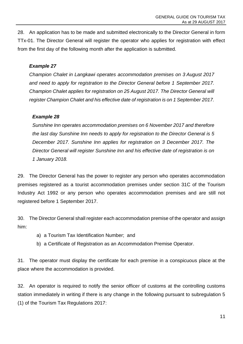28. An application has to be made and submitted electronically to the Director General in form TTx-01. The Director General will register the operator who applies for registration with effect from the first day of the following month after the application is submitted.

#### *Example 27*

*Champion Chalet in Langkawi operates accommodation premises on 3 August 2017 and need to apply for registration to the Director General before 1 September 2017. Champion Chalet applies for registration on 25 August 2017. The Director General will register Champion Chalet and his effective date of registration is on 1 September 2017.*

#### *Example 28*

*Sunshine Inn operates accommodation premises on 6 November 2017 and therefore the last day Sunshine Inn needs to apply for registration to the Director General is 5 December 2017. Sunshine Inn applies for registration on 3 December 2017. The Director General will register Sunshine Inn and his effective date of registration is on 1 January 2018.*

29. The Director General has the power to register any person who operates accommodation premises registered as a tourist accommodation premises under section 31C of the Tourism Industry Act 1992 or any person who operates accommodation premises and are still not registered before 1 September 2017.

30. The Director General shall register each accommodation premise of the operator and assign him:

- a) a Tourism Tax Identification Number; and
- b) a Certificate of Registration as an Accommodation Premise Operator.

31. The operator must display the certificate for each premise in a conspicuous place at the place where the accommodation is provided.

32. An operator is required to notify the senior officer of customs at the controlling customs station immediately in writing if there is any change in the following pursuant to subregulation 5 (1) of the Tourism Tax Regulations 2017: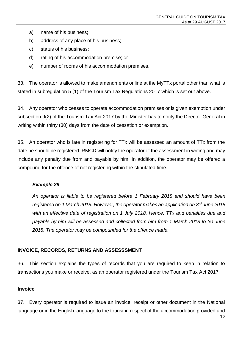- a) name of his business;
- b) address of any place of his business;
- c) status of his business;
- d) rating of his accommodation premise; or
- e) number of rooms of his accommodation premises.

33. The operator is allowed to make amendments online at the MyTTx portal other than what is stated in subregulation 5 (1) of the Tourism Tax Regulations 2017 which is set out above.

34. Any operator who ceases to operate accommodation premises or is given exemption under subsection 9(2) of the Tourism Tax Act 2017 by the Minister has to notify the Director General in writing within thirty (30) days from the date of cessation or exemption.

35. An operator who is late in registering for TTx will be assessed an amount of TTx from the date he should be registered. RMCD will notify the operator of the assessment in writing and may include any penalty due from and payable by him. In addition, the operator may be offered a compound for the offence of not registering within the stipulated time.

#### *Example 29*

*An operator is liable to be registered before 1 February 2018 and should have been registered on 1 March 2018. However, the operator makes an application on 3 rd June 2018 with an effective date of registration on 1 July 2018. Hence, TTx and penalties due and payable by him will be assessed and collected from him from 1 March 2018 to 30 June 2018. The operator may be compounded for the offence made.*

#### <span id="page-15-0"></span>**INVOICE, RECORDS, RETURNS AND ASSESSSMENT**

36. This section explains the types of records that you are required to keep in relation to transactions you make or receive, as an operator registered under the Tourism Tax Act 2017.

#### <span id="page-15-1"></span>**Invoice**

37. Every operator is required to issue an invoice, receipt or other document in the National language or in the English language to the tourist in respect of the accommodation provided and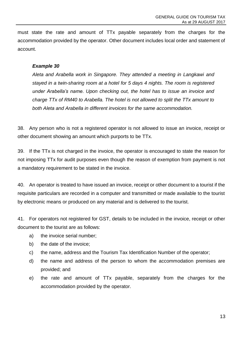must state the rate and amount of TTx payable separately from the charges for the accommodation provided by the operator. Other document includes local order and statement of account.

#### *Example 30*

*Aleta and Arabella work in Singapore. They attended a meeting in Langkawi and stayed in a twin-sharing room at a hotel for 5 days 4 nights. The room is registered under Arabella's name. Upon checking out, the hotel has to issue an invoice and charge TTx of RM40 to Arabella. The hotel is not allowed to split the TTx amount to both Aleta and Arabella in different invoices for the same accommodation.*

38. Any person who is not a registered operator is not allowed to issue an invoice, receipt or other document showing an amount which purports to be TTx.

39. If the TTx is not charged in the invoice, the operator is encouraged to state the reason for not imposing TTx for audit purposes even though the reason of exemption from payment is not a mandatory requirement to be stated in the invoice.

40. An operator is treated to have issued an invoice, receipt or other document to a tourist if the requisite particulars are recorded in a computer and transmitted or made available to the tourist by electronic means or produced on any material and is delivered to the tourist.

41. For operators not registered for GST, details to be included in the invoice, receipt or other document to the tourist are as follows:

- a) the invoice serial number;
- b) the date of the invoice;
- c) the name, address and the Tourism Tax Identification Number of the operator;
- d) the name and address of the person to whom the accommodation premises are provided; and
- e) the rate and amount of TTx payable, separately from the charges for the accommodation provided by the operator.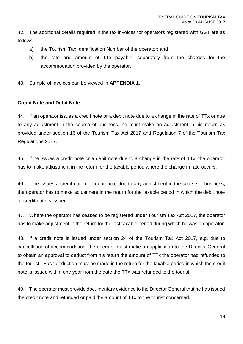42. The additional details required in the tax invoices for operators registered with GST are as follows:

- a) the Tourism Tax Identification Number of the operator; and
- b) the rate and amount of TTx payable, separately from the charges for the accommodation provided by the operator.
- 43. Sample of invoices can be viewed in **APPENDIX 1.**

#### <span id="page-17-0"></span>**Credit Note and Debit Note**

44. If an operator issues a credit note or a debit note due to a change in the rate of TTx or due to any adjustment in the course of business, he must make an adjustment in his return as provided under section 16 of the Tourism Tax Act 2017 and Regulation 7 of the Tourism Tax Regulations 2017.

45. If he issues a credit note or a debit note due to a change in the rate of TTx, the operator has to make adjustment in the return for the taxable period where the change in rate occurs.

46. If he issues a credit note or a debit note due to any adjustment in the course of business, the operator has to make adjustment in the return for the taxable period in which the debit note or credit note is issued.

47. Where the operator has ceased to be registered under Tourism Tax Act 2017, the operator has to make adjustment in the return for the last taxable period during which he was an operator.

48. If a credit note is issued under section 24 of the Tourism Tax Act 2017, e.g. due to cancellation of accommodation, the operator must make an application to the Director General to obtain an approval to deduct from his return the amount of TTx the operator had refunded to the tourist . Such deduction must be made in the return for the taxable period in which the credit note is issued within one year from the date the TTx was refunded to the tourist.

49. The operator must provide documentary evidence to the Director General that he has issued the credit note and refunded or paid the amount of TTx to the tourist concerned.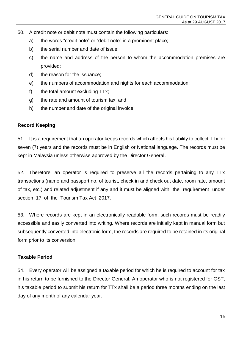- 50. A credit note or debit note must contain the following particulars:
	- a) the words "credit note" or "debit note" in a prominent place;
	- b) the serial number and date of issue;
	- c) the name and address of the person to whom the accommodation premises are provided;
	- d) the reason for the issuance;
	- e) the numbers of accommodation and nights for each accommodation;
	- f) the total amount excluding TTx;
	- g) the rate and amount of tourism tax; and
	- h) the number and date of the original invoice

#### <span id="page-18-0"></span>**Record Keeping**

51. It is a requirement that an operator keeps records which affects his liability to collect TTx for seven (7) years and the records must be in English or National language. The records must be kept in Malaysia unless otherwise approved by the Director General.

52. Therefore, an operator is required to preserve all the records pertaining to any TTx transactions (name and passport no. of tourist, check in and check out date, room rate, amount of tax, etc.) and related adjustment if any and it must be aligned with the requirement under section 17 of the Tourism Tax Act 2017.

53. Where records are kept in an electronically readable form, such records must be readily accessible and easily converted into writing. Where records are initially kept in manual form but subsequently converted into electronic form, the records are required to be retained in its original form prior to its conversion.

#### <span id="page-18-1"></span>**Taxable Period**

54. Every operator will be assigned a taxable period for which he is required to account for tax in his return to be furnished to the Director General. An operator who is not registered for GST, his taxable period to submit his return for TTx shall be a period three months ending on the last day of any month of any calendar year.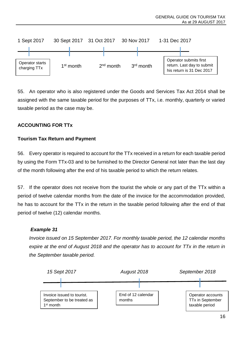

55. An operator who is also registered under the Goods and Services Tax Act 2014 shall be assigned with the same taxable period for the purposes of TTx, i.e. monthly, quarterly or varied taxable period as the case may be.

### <span id="page-19-0"></span>**ACCOUNTING FOR TTx**

#### <span id="page-19-1"></span>**Tourism Tax Return and Payment**

56. Every operator is required to account for the TTx received in a return for each taxable period by using the Form TTx-03 and to be furnished to the Director General not later than the last day of the month following after the end of his taxable period to which the return relates.

57. If the operator does not receive from the tourist the whole or any part of the TTx within a period of twelve calendar months from the date of the invoice for the accommodation provided, he has to account for the TTx in the return in the taxable period following after the end of that period of twelve (12) calendar months.

#### *Example 31*

*Invoice issued on 15 September 2017. For monthly taxable period, the 12 calendar months expire at the end of August 2018 and the operator has to account for TTx in the return in the September taxable period.*

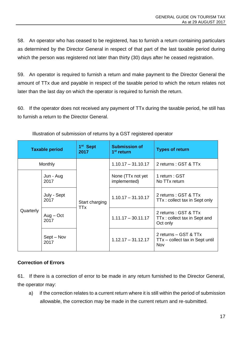58. An operator who has ceased to be registered, has to furnish a return containing particulars as determined by the Director General in respect of that part of the last taxable period during which the person was registered not later than thirty (30) days after he ceased registration.

59. An operator is required to furnish a return and make payment to the Director General the amount of TTx due and payable in respect of the taxable period to which the return relates not later than the last day on which the operator is required to furnish the return.

60. If the operator does not received any payment of TTx during the taxable period, he still has to furnish a return to the Director General.

| <b>Taxable period</b> |                     | 1 <sup>st</sup> Sept<br>2017 | <b>Submission of</b><br>1 <sup>st</sup> return | <b>Types of return</b>                                            |
|-----------------------|---------------------|------------------------------|------------------------------------------------|-------------------------------------------------------------------|
| Monthly               |                     |                              | $1.10.17 - 31.10.17$                           | 2 returns : GST & TTx                                             |
| Quarterly             | Jun - Aug<br>2017   | Start charging<br>TTx        | None (TTx not yet)<br>implemented)             | 1 return : GST<br>No TTx return                                   |
|                       | July - Sept<br>2017 |                              | $1.10.17 - 31.10.17$                           | 2 returns: GST & TTx<br>TTx: collect tax in Sept only             |
|                       | $Aug - Oct$<br>2017 |                              | $1.11.17 - 30.11.17$                           | 2 returns : GST & TTx<br>TTx: collect tax in Sept and<br>Oct only |
|                       | Sept – Nov<br>2017  |                              | $1.12.17 - 31.12.17$                           | 2 returns - GST & TTx<br>TTx – collect tax in Sept until<br>Nov   |

Illustration of submission of returns by a GST registered operator

#### <span id="page-20-0"></span>**Correction of Errors**

61. If there is a correction of error to be made in any return furnished to the Director General, the operator may:

a) if the correction relates to a current return where it is still within the period of submission allowable, the correction may be made in the current return and re-submitted.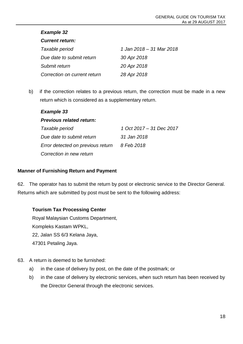#### *Current return:*

| Taxable period               | 1 Jan 2018 – 31 Mar 2018 |
|------------------------------|--------------------------|
| Due date to submit return    | 30 Apr 2018              |
| Submit return                | 20 Apr 2018              |
| Correction on current return | 28 Apr 2018              |

b) if the correction relates to a previous return, the correction must be made in a new return which is considered as a supplementary return.

#### *Example 33*

#### *Previous related return:*

| Taxable period                    | 1 Oct 2017 - 31 Dec 2017 |
|-----------------------------------|--------------------------|
| Due date to submit return         | 31 Jan 2018              |
| Error detected on previous return | 8 Feb 2018               |
| Correction in new return          |                          |

#### <span id="page-21-0"></span>**Manner of Furnishing Return and Payment**

62. The operator has to submit the return by post or electronic service to the Director General. Returns which are submitted by post must be sent to the following address:

#### **Tourism Tax Processing Center**

Royal Malaysian Customs Department, Kompleks Kastam WPKL, 22, Jalan SS 6/3 Kelana Jaya, 47301 Petaling Jaya.

- 63. A return is deemed to be furnished:
	- a) in the case of delivery by post, on the date of the postmark; or
	- b) in the case of delivery by electronic services, when such return has been received by the Director General through the electronic services.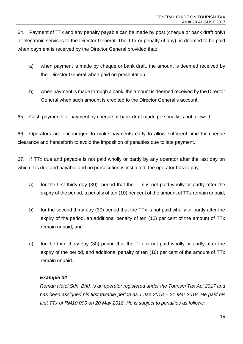64. Payment of TTx and any penalty payable can be made by post (cheque or bank draft only) or electronic services to the Director General. The TTx or penalty (if any) is deemed to be paid when payment is received by the Director General provided that:

- a) when payment is made by cheque or bank draft, the amount is deemed received by the Director General when paid on presentation;
- b) when payment is made through a bank, the amount is deemed received by the Director General when such amount is credited to the Director General's account.
- 65. Cash payments or payment by cheque or bank draft made personally is not allowed.

66. Operators are encouraged to make payments early to allow sufficient time for cheque clearance and henceforth to avoid the imposition of penalties due to late payment.

67. If TTx due and payable is not paid wholly or partly by any operator after the last day on which it is due and payable and no prosecution is instituted, the operator has to pay—

- a) for the first thirty-day (30) period that the TTx is not paid wholly or partly after the expiry of the period, a penalty of ten (10) per cent of the amount of TTx remain unpaid;
- b) for the second thirty-day (30) period that the TTx is not paid wholly or partly after the expiry of the period, an additional penalty of ten (10) per cent of the amount of TTx remain unpaid; and
- c) for the third thirty-day (30) period that the TTx is not paid wholly or partly after the expiry of the period, and additional penalty of ten (10) per cent of the amount of TTx remain unpaid.

#### *Example 34*

*Roman Hotel Sdn. Bhd. is an operator registered under the Tourism Tax Act 2017 and has been assigned his first taxable period as 1 Jan 2018 – 31 Mar 2018. He paid his first TTx of RM10,000 on 20 May 2018. He is subject to penalties as follows:*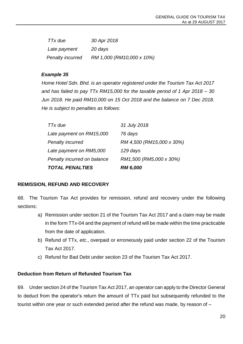| TTx due          | 30 Apr 2018               |
|------------------|---------------------------|
| Late payment     | 20 days                   |
| Penalty incurred | RM 1,000 (RM10,000 x 10%) |

*Home Hotel Sdn. Bhd. is an operator registered under the Tourism Tax Act 2017 and has failed to pay TTx RM15,000 for the taxable period of 1 Apr 2018 – 30 Jun 2018. He paid RM10,000 on 15 Oct 2018 and the balance on 7 Dec 2018. He is subject to penalties as follows:*

| <b>TOTAL PENALTIES</b>      | <b>RM 6,000</b>           |
|-----------------------------|---------------------------|
| Penalty incurred on balance | RM1,500 (RM5,000 x 30%)   |
| Late payment on RM5,000     | 129 days                  |
| Penalty incurred            | RM 4,500 (RM15,000 x 30%) |
| Late payment on RM15,000    | 76 days                   |
| TT <sub>x</sub> due         | 31 July 2018              |

#### <span id="page-23-0"></span>**REMISSION, REFUND AND RECOVERY**

68. The Tourism Tax Act provides for remission, refund and recovery under the following sections:

- a) Remission under section 21 of the Tourism Tax Act 2017 and a claim may be made in the form TTx-04 and the payment of refund will be made within the time practicable from the date of application.
- b) Refund of TTx, *etc.*, overpaid or erroneously paid under section 22 of the Tourism Tax Act 2017.
- c) Refund for Bad Debt under section 23 of the Tourism Tax Act 2017.

#### <span id="page-23-1"></span>**Deduction from Return of Refunded Tourism Tax**

69. Under section 24 of the Tourism Tax Act 2017, an operator can apply to the Director General to deduct from the operator's return the amount of TTx paid but subsequently refunded to the tourist within one year or such extended period after the refund was made, by reason of –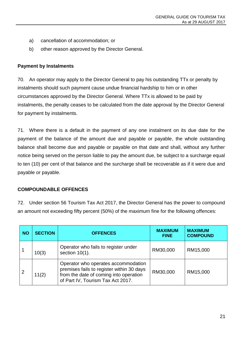- a) cancellation of accommodation; or
- b) other reason approved by the Director General.

#### <span id="page-24-0"></span>**Payment by Instalments**

70. An operator may apply to the Director General to pay his outstanding TTx or penalty by instalments should such payment cause undue financial hardship to him or in other circumstances approved by the Director General. Where TTx is allowed to be paid by instalments, the penalty ceases to be calculated from the date approval by the Director General for payment by instalments.

71. Where there is a default in the payment of any one instalment on its due date for the payment of the balance of the amount due and payable or payable, the whole outstanding balance shall become due and payable or payable on that date and shall, without any further notice being served on the person liable to pay the amount due, be subject to a surcharge equal to ten (10) per cent of that balance and the surcharge shall be recoverable as if it were due and payable or payable.

#### <span id="page-24-1"></span>**COMPOUNDABLE OFFENCES**

72. Under section 56 Tourism Tax Act 2017, the Director General has the power to compound an amount not exceeding fifty percent (50%) of the maximum fine for the following offences:

| <b>NO</b>      | <b>SECTION</b> | <b>OFFENCES</b>                                                                                                                                                 | <b>MAXIMUM</b><br><b>FINE</b> | <b>MAXIMUM</b><br><b>COMPOUND</b> |
|----------------|----------------|-----------------------------------------------------------------------------------------------------------------------------------------------------------------|-------------------------------|-----------------------------------|
|                | 10(3)          | Operator who fails to register under<br>section $10(1)$ .                                                                                                       | RM30,000                      | RM15,000                          |
| $\overline{2}$ | 11(2)          | Operator who operates accommodation<br>premises fails to register within 30 days<br>from the date of coming into operation<br>of Part IV, Tourism Tax Act 2017. | RM30,000                      | RM15,000                          |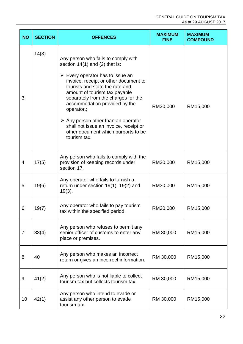| <b>NO</b>      | <b>SECTION</b> | <b>OFFENCES</b>                                                                                                                                                                                                                                                                                                                                                                                                                                                                      | <b>MAXIMUM</b><br><b>FINE</b> | <b>MAXIMUM</b><br><b>COMPOUND</b> |
|----------------|----------------|--------------------------------------------------------------------------------------------------------------------------------------------------------------------------------------------------------------------------------------------------------------------------------------------------------------------------------------------------------------------------------------------------------------------------------------------------------------------------------------|-------------------------------|-----------------------------------|
| 3              | 14(3)          | Any person who fails to comply with<br>section $14(1)$ and (2) that is:<br>$\triangleright$ Every operator has to issue an<br>invoice, receipt or other document to<br>tourists and state the rate and<br>amount of tourism tax payable<br>separately from the charges for the<br>accommodation provided by the<br>operator.;<br>$\triangleright$ Any person other than an operator<br>shall not issue an invoice, receipt or<br>other document which purports to be<br>tourism tax. | RM30,000                      | RM15,000                          |
| $\overline{4}$ | 17(5)          | Any person who fails to comply with the<br>provision of keeping records under<br>section 17.                                                                                                                                                                                                                                                                                                                                                                                         | RM30,000                      | RM15,000                          |
| 5              | 19(6)          | Any operator who fails to furnish a<br>return under section 19(1), 19(2) and<br>$19(3)$ .                                                                                                                                                                                                                                                                                                                                                                                            | RM30,000                      | RM15,000                          |
| 6              | 19(7)          | Any operator who fails to pay tourism<br>tax within the specified period.                                                                                                                                                                                                                                                                                                                                                                                                            | RM30,000                      | RM15,000                          |
| $\overline{7}$ | 33(4)          | Any person who refuses to permit any<br>senior officer of customs to enter any<br>place or premises.                                                                                                                                                                                                                                                                                                                                                                                 | RM 30,000                     | RM15,000                          |
| 8              | 40             | Any person who makes an incorrect<br>return or gives an incorrect information.                                                                                                                                                                                                                                                                                                                                                                                                       | RM 30,000                     | RM15,000                          |
| 9              | 41(2)          | Any person who is not liable to collect<br>tourism tax but collects tourism tax.                                                                                                                                                                                                                                                                                                                                                                                                     | RM 30,000                     | RM15,000                          |
| 10             | 42(1)          | Any person who intend to evade or<br>assist any other person to evade<br>tourism tax.                                                                                                                                                                                                                                                                                                                                                                                                | RM 30,000                     | RM15,000                          |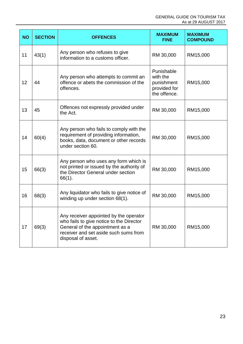| <b>NO</b> | <b>SECTION</b> | <b>OFFENCES</b>                                                                                                                                                                      | <b>MAXIMUM</b><br><b>FINE</b> | <b>MAXIMUM</b><br><b>COMPOUND</b> |
|-----------|----------------|--------------------------------------------------------------------------------------------------------------------------------------------------------------------------------------|-------------------------------|-----------------------------------|
| 11        | 43(1)          | Any person who refuses to give<br>RM 30,000<br>information to a customs officer.                                                                                                     |                               | RM15,000                          |
| 12        | 44             | Punishable<br>with the<br>Any person who attempts to commit an<br>offence or abets the commission of the<br>punishment<br>offences.<br>provided for<br>the offence.                  |                               | RM15,000                          |
| 13        | 45             | Offences not expressly provided under<br>RM 30,000<br>the Act.                                                                                                                       |                               | RM15,000                          |
| 14        | 60(4)          | Any person who fails to comply with the<br>requirement of providing information,<br>books, data, document or other records<br>under section 60.                                      | RM 30,000                     | RM15,000                          |
| 15        | 66(3)          | Any person who uses any form which is<br>not printed or issued by the authority of<br>the Director General under section<br>66(1).                                                   | RM 30,000                     | RM15,000                          |
| 16        | 68(3)          | Any liquidator who fails to give notice of<br>winding up under section 68(1).                                                                                                        | RM 30,000                     | RM15,000                          |
| 17        | 69(3)          | Any receiver appointed by the operator<br>who fails to give notice to the Director<br>General of the appointment as a<br>receiver and set aside such sums from<br>disposal of asset. | RM 30,000                     | RM15,000                          |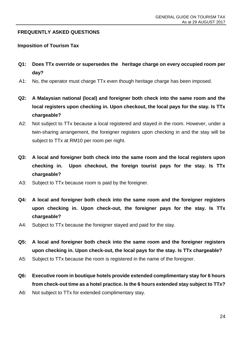#### <span id="page-27-0"></span>**FREQUENTLY ASKED QUESTIONS**

#### **Imposition of Tourism Tax**

- **Q1: Does TTx override or supersedes the heritage charge on every occupied room per day?**
- A1: No, the operator must charge TTx even though heritage charge has been imposed.
- **Q2: A Malaysian national (local) and foreigner both check into the same room and the local registers upon checking in. Upon checkout, the local pays for the stay. Is TTx chargeable?**
- A2: Not subject to TTx because a local registered and stayed in the room. However, under a twin-sharing arrangement, the foreigner registers upon checking in and the stay will be subject to TTx at RM10 per room per night.
- **Q3: A local and foreigner both check into the same room and the local registers upon checking in. Upon checkout, the foreign tourist pays for the stay. Is TTx chargeable?**
- A3: Subject to TTx because room is paid by the foreigner.
- **Q4: A local and foreigner both check into the same room and the foreigner registers upon checking in. Upon check-out, the foreigner pays for the stay. Is TTx chargeable?**
- A4: Subject to TTx because the foreigner stayed and paid for the stay.
- **Q5: A local and foreigner both check into the same room and the foreigner registers upon checking in. Upon check-out, the local pays for the stay. Is TTx chargeable?**
- A5: Subject to TTx because the room is registered in the name of the foreigner.
- **Q6: Executive room in boutique hotels provide extended complimentary stay for 6 hours from check-out time as a hotel practice. Is the 6 hours extended stay subject to TTx?**
- A6: Not subject to TTx for extended complimentary stay.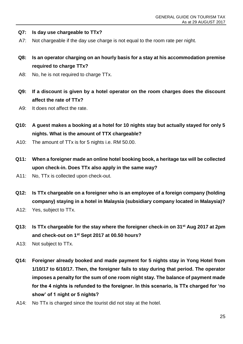- **Q7: Is day use chargeable to TTx?**
- A7: Not chargeable if the day use charge is not equal to the room rate per night.
- **Q8: Is an operator charging on an hourly basis for a stay at his accommodation premise required to charge TTx?**
- A8: No, he is not required to charge TTx.
- **Q9: If a discount is given by a hotel operator on the room charges does the discount affect the rate of TTx?**
- A9: It does not affect the rate.
- **Q10: A guest makes a booking at a hotel for 10 nights stay but actually stayed for only 5 nights. What is the amount of TTX chargeable?**
- A10: The amount of TTx is for 5 nights i.e. RM 50.00.
- **Q11: When a foreigner made an online hotel booking book, a heritage tax will be collected upon check-in. Does TTx also apply in the same way?**
- A11: No, TTx is collected upon check-out.
- **Q12: Is TTx chargeable on a foreigner who is an employee of a foreign company (holding company) staying in a hotel in Malaysia (subsidiary company located in Malaysia)?**
- A12: Yes, subject to TTx.
- **Q13: Is TTx chargeable for the stay where the foreigner check-in on 31st Aug 2017 at 2pm and check-out on 1st Sept 2017 at 00.50 hours?**
- A13: Not subject to TTx.
- **Q14: Foreigner already booked and made payment for 5 nights stay in Yong Hotel from 1/10/17 to 6/10/17. Then, the foreigner fails to stay during that period. The operator imposes a penalty for the sum of one room night stay. The balance of payment made for the 4 nights is refunded to the foreigner. In this scenario, is TTx charged for 'no show' of 1 night or 5 nights?**
- A14: No TTx is charged since the tourist did not stay at the hotel.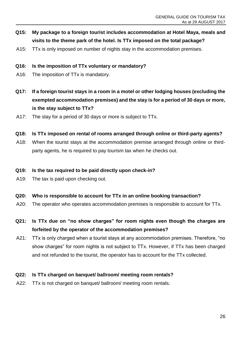- **Q15: My package to a foreign tourist includes accommodation at Hotel Maya, meals and visits to the theme park of the hotel. Is TTx imposed on the total package?**
- A15: TTx is only imposed on number of nights stay in the accommodation premises.
- **Q16: Is the imposition of TTx voluntary or mandatory?**
- A16: The imposition of TTx is mandatory.
- **Q17: If a foreign tourist stays in a room in a motel or other lodging houses (excluding the exempted accommodation premises) and the stay is for a period of 30 days or more, is the stay subject to TTx?**
- A17: The stay for a period of 30 days or more is subject to TTx.
- **Q18: Is TTx imposed on rental of rooms arranged through online or third-party agents?**
- A18: When the tourist stays at the accommodation premise arranged through online or thirdparty agents, he is required to pay tourism tax when he checks out.
- **Q19: Is the tax required to be paid directly upon check-in?**
- A19: The tax is paid upon checking out.
- **Q20: Who is responsible to account for TTx in an online booking transaction?**
- A20: The operator who operates accommodation premises is responsible to account for TTx.
- **Q21: Is TTx due on "no show charges" for room nights even though the charges are forfeited by the operator of the accommodation premises?**
- A21: TTx is only charged when a tourist stays at any accommodation premises. Therefore, "no show charges" for room nights is not subject to TTx. However, if TTx has been charged and not refunded to the tourist, the operator has to account for the TTx collected.

#### **Q22: Is TTx charged on banquet/ ballroom/ meeting room rentals?**

A22: TTx is not charged on banquet/ ballroom/ meeting room rentals.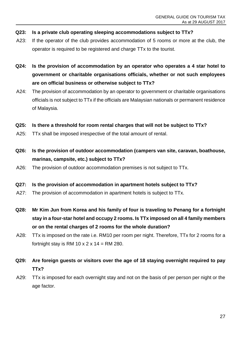- **Q23: Is a private club operating sleeping accommodations subject to TTx?**
- A23: If the operator of the club provides accommodation of 5 rooms or more at the club, the operator is required to be registered and charge TTx to the tourist.
- **Q24: Is the provision of accommodation by an operator who operates a 4 star hotel to government or charitable organisations officials, whether or not such employees are on official business or otherwise subject to TTx?**
- A24: The provision of accommodation by an operator to government or charitable organisations officials is not subject to TTx if the officials are Malaysian nationals or permanent residence of Malaysia.

#### **Q25: Is there a threshold for room rental charges that will not be subject to TTx?**

- A25: TTx shall be imposed irrespective of the total amount of rental.
- **Q26: Is the provision of outdoor accommodation (campers van site, caravan, boathouse, marinas, campsite, etc.) subject to TTx?**
- A26: The provision of outdoor accommodation premises is not subject to TTx.

#### **Q27: Is the provision of accommodation in apartment hotels subject to TTx?**

- A27: The provision of accommodation in apartment hotels is subject to TTx.
- **Q28: Mr Kim Jun from Korea and his family of four is traveling to Penang for a fortnight stay in a four-star hotel and occupy 2 rooms. Is TTx imposed on all 4 family members or on the rental charges of 2 rooms for the whole duration?**
- A28: TTx is imposed on the rate i.e. RM10 per room per night. Therefore, TTx for 2 rooms for a fortnight stay is RM 10 x 2 x 14 = RM 280.
- **Q29: Are foreign guests or visitors over the age of 18 staying overnight required to pay TTx?**
- A29: TTx is imposed for each overnight stay and not on the basis of per person per night or the age factor.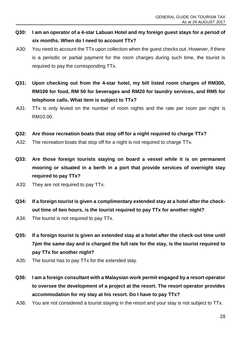- **Q30: I am an operator of a 4-star Labuan Hotel and my foreign guest stays for a period of six months. When do I need to account TTx?**
- A30: You need to account the TTx upon collection when the guest checks out. However, if there is a periodic or partial payment for the room charges during such time, the tourist is required to pay the corresponding TTx.
- **Q31: Upon checking out from the 4-star hotel, my bill listed room charges of RM300, RM100 for food, RM 50 for beverages and RM20 for laundry services, and RM5 for telephone calls. What item is subject to TTx?**
- A31: TTx is only levied on the number of room nights and the rate per room per night is RM10.00.
- **Q32: Are those recreation boats that stop off for a night required to charge TTx?**
- A32: The recreation boats that stop off for a night is not required to charge TTx.
- **Q33: Are those foreign tourists staying on board a vessel while it is on permanent mooring or situated in a berth in a port that provide services of overnight stay required to pay TTx?**
- A33: They are not required to pay TTx.
- **Q34: If a foreign tourist is given a complimentary extended stay at a hotel after the checkout time of two hours, is the tourist required to pay TTx for another night?**
- A34: The tourist is not required to pay TTx.
- **Q35: If a foreign tourist is given an extended stay at a hotel after the check-out time until 7pm the same day and is charged the full rate for the stay, is the tourist required to pay TTx for another night?**
- A35: The tourist has to pay TTx for the extended stay.
- **Q36: I am a foreign consultant with a Malaysian work permit engaged by a resort operator to oversee the development of a project at the resort. The resort operator provides accommodation for my stay at his resort. Do I have to pay TTx?**
- A36: You are not considered a tourist staying in the resort and your stay is not subject to TTx.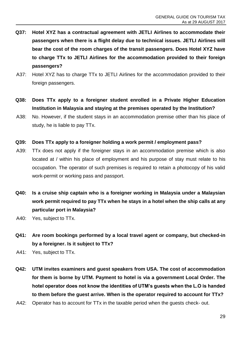- **Q37: Hotel XYZ has a contractual agreement with JETLI Airlines to accommodate their passengers when there is a flight delay due to technical issues. JETLI Airlines will bear the cost of the room charges of the transit passengers. Does Hotel XYZ have to charge TTx to JETLI Airlines for the accommodation provided to their foreign passengers?**
- A37: Hotel XYZ has to charge TTx to JETLI Airlines for the accommodation provided to their foreign passengers.
- **Q38: Does TTx apply to a foreigner student enrolled in a Private Higher Education Institution in Malaysia and staying at the premises operated by the Institution?**
- A38: No. However, if the student stays in an accommodation premise other than his place of study, he is liable to pay TTx.
- **Q39: Does TTx apply to a foreigner holding a work permit / employment pass?**
- A39: TTx does not apply if the foreigner stays in an accommodation premise which is also located at / within his place of employment and his purpose of stay must relate to his occupation. The operator of such premises is required to retain a photocopy of his valid work-permit or working pass and passport.
- **Q40: Is a cruise ship captain who is a foreigner working in Malaysia under a Malaysian work permit required to pay TTx when he stays in a hotel when the ship calls at any particular port in Malaysia?**
- A40: Yes, subject to TTx.
- **Q41: Are room bookings performed by a local travel agent or company, but checked-in by a foreigner. Is it subject to TTx?**
- A41: Yes, subject to TTx.
- **Q42: UTM invites examiners and guest speakers from USA. The cost of accommodation for them is borne by UTM. Payment to hotel is via a government Local Order. The hotel operator does not know the identities of UTM's guests when the L.O is handed to them before the guest arrive. When is the operator required to account for TTx?**
- A42: Operator has to account for TTx in the taxable period when the guests check- out.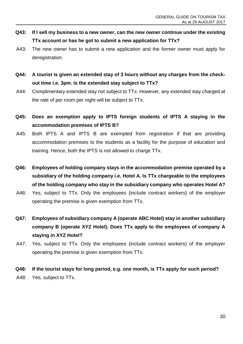- **Q43: If I sell my business to a new owner, can the new owner continue under the existing TTx account or has he got to submit a new application for TTx?**
- A43: The new owner has to submit a new application and the former owner must apply for deregistration.
- **Q44: A tourist is given an extended stay of 3 hours without any charges from the checkout time i.e. 3pm. Is the extended stay subject to TTx?**
- A44: Complimentary extended stay not subject to TTx. However, any extended stay charged at the rate of per room per night will be subject to TTx.
- **Q45: Does an exemption apply to IPTS foreign students of IPTS A staying in the accommodation premises of IPTS B?**
- A45: Both IPTS A and IPTS B are exempted from registration if that are providing accommodation premises to the students as a facility for the purpose of education and training. Hence, both the IPTS is not allowed to charge TTx.
- **Q46: Employees of holding company stays in the accommodation premise operated by a subsidiary of the holding company i.e. Hotel A. Is TTx chargeable to the employees of the holding company who stay in the subsidiary company who operates Hotel A?**
- A46: Yes, subject to TTx. Only the employees (include contract workers) of the employer operating the premise is given exemption from TTx.
- **Q47: Employees of subsidiary company A (operate ABC Hotel) stay in another subsidiary company B (operate XYZ Hotel). Does TTx apply to the employees of company A staying in XYZ Hotel?**
- A47: Yes, subject to TTx. Only the employees (include contract workers) of the employer operating the premise is given exemption from TTx.
- **Q48: If the tourist stays for long period, e.g. one month, is TTx apply for such period?** A48: Yes, subject to TTx.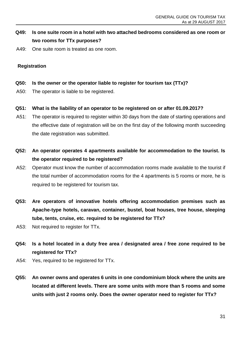# **Q49: Is one suite room in a hotel with two attached bedrooms considered as one room or two rooms for TTx purposes?**

A49: One suite room is treated as one room.

#### **Registration**

- **Q50: Is the owner or the operator liable to register for tourism tax (TTx)?**
- A50: The operator is liable to be registered.
- **Q51: What is the liability of an operator to be registered on or after 01.09.2017?**
- A51: The operator is required to register within 30 days from the date of starting operations and the effective date of registration will be on the first day of the following month succeeding the date registration was submitted.
- **Q52: An operator operates 4 apartments available for accommodation to the tourist. Is the operator required to be registered?**
- A52: Operator must know the number of accommodation rooms made available to the tourist if the total number of accommodation rooms for the 4 apartments is 5 rooms or more, he is required to be registered for tourism tax.
- **Q53: Are operators of innovative hotels offering accommodation premises such as Apache-type hotels, caravan, container, bustel, boat houses, tree house, sleeping tube, tents, cruise, etc. required to be registered for TTx?**
- A53: Not required to register for TTx.
- **Q54: Is a hotel located in a duty free area / designated area / free zone required to be registered for TTx?**
- A54: Yes, required to be registered for TTx.
- **Q55: An owner owns and operates 6 units in one condominium block where the units are located at different levels. There are some units with more than 5 rooms and some units with just 2 rooms only. Does the owner operator need to register for TTx?**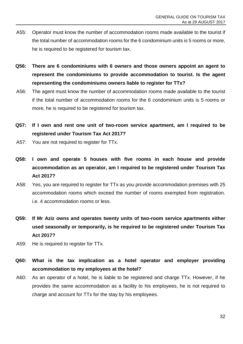- A55: Operator must know the number of accommodation rooms made available to the tourist if the total number of accommodation rooms for the 6 condominium units is 5 rooms or more, he is required to be registered for tourism tax.
- **Q56: There are 6 condominiums with 6 owners and those owners appoint an agent to represent the condominiums to provide accommodation to tourist. Is the agent representing the condominiums owners liable to register for TTx?**
- A56: The agent must know the number of accommodation rooms made available to the tourist if the total number of accommodation rooms for the 6 condominium units is 5 rooms or more, he is required to be registered for tourism tax.
- **Q57: If I own and rent one unit of two-room service apartment, am I required to be registered under Tourism Tax Act 2017?**
- A57: You are not required to register for TTx.
- **Q58: I own and operate 5 houses with five rooms in each house and provide accommodation as an operator, am I required to be registered under Tourism Tax Act 2017?**
- A58: Yes, you are required to register for TTx as you provide accommodation premises with 25 accommodation rooms which exceed the number of rooms exempted from registration. i.e. 4 accommodation rooms or less.
- **Q59: If Mr Aziz owns and operates twenty units of two-room service apartments either used seasonally or temporarily, is he required to be registered under Tourism Tax Act 2017?**
- A59: He is required to register for TTx.
- **Q60: What is the tax implication as a hotel operator and employer providing accommodation to my employees at the hotel?**
- A60: As an operator of a hotel, he is liable to be registered and charge TTx. However, if he provides the same accommodation as a facility to his employees, he is not required to charge and account for TTx for the stay by his employees.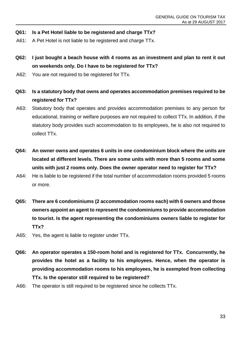- **Q61: Is a Pet Hotel liable to be registered and charge TTx?**
- A61: A Pet Hotel is not liable to be registered and charge TTx.
- **Q62: I just bought a beach house with 4 rooms as an investment and plan to rent it out on weekends only. Do I have to be registered for TTx?**
- A62: You are not required to be registered for TTx.
- **Q63: Is a statutory body that owns and operates accommodation premises required to be registered for TTx?**
- A63: Statutory body that operates and provides accommodation premises to any person for educational, training or welfare purposes are not required to collect TTx. In addition, if the statutory body provides such accommodation to its employees, he is also not required to collect TTx.
- **Q64: An owner owns and operates 6 units in one condominium block where the units are located at different levels. There are some units with more than 5 rooms and some units with just 2 rooms only. Does the owner operator need to register for TTx?**
- A64: He is liable to be registered if the total number of accommodation rooms provided 5 rooms or more.
- **Q65: There are 6 condominiums (2 accommodation rooms each) with 6 owners and those owners appoint an agent to represent the condominiums to provide accommodation to tourist. Is the agent representing the condominiums owners liable to register for TTx?**
- A65: Yes, the agent is liable to register under TTx.
- **Q66: An operator operates a 150-room hotel and is registered for TTx. Concurrently, he provides the hotel as a facility to his employees. Hence, when the operator is providing accommodation rooms to his employees, he is exempted from collecting TTx. Is the operator still required to be registered?**
- A66: The operator is still required to be registered since he collects TTx.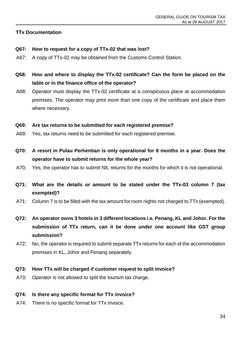#### **TTx Documentation**

- **Q67: How to request for a copy of TTx-02 that was lost?**
- A67: A copy of TTx-02 may be obtained from the Customs Control Station.
- **Q68: How and where to display the TTx-02 certificate? Can the form be placed on the table or in the finance office of the operator?**
- A68: Operator must display the TTx-02 certificate at a conspicuous place at accommodation premises. The operator may print more than one copy of the certificate and place them where necessary.

#### **Q69: Are tax returns to be submitted for each registered premise?**

- A69: Yes, tax returns need to be submitted for each registered premise.
- **Q70: A resort in Pulau Perhentian is only operational for 8 months in a year. Does the operator have to submit returns for the whole year?**
- A70: Yes, the operator has to submit NIL returns for the months for which it is not operational.
- **Q71: What are the details or amount to be stated under the TTx-03 column 7 (tax exempted)?**
- A71: Column 7 is to be filled with the tax amount for room nights not charged to TTx (exempted).
- **Q72: An operator owns 3 hotels in 3 different locations i.e. Penang, KL and Johor. For the submission of TTx return, can it be done under one account like GST group submission?**
- A72: No, the operator is required to submit separate TTx returns for each of the accommodation premises in KL, Johor and Penang separately.
- **Q73: How TTx will be charged if customer request to split invoice?**
- A73: Operator is not allowed to split the tourism tax charge.

#### **Q74: Is there any specific format for TTx invoice?**

A74: There is no specific format for TTx invoice.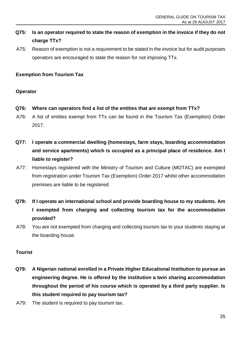# **Q75: Is an operator required to state the reason of exemption in the invoice if they do not charge TTx?**

A75: Reason of exemption is not a requirement to be stated in the invoice but for audit purposes operators are encouraged to state the reason for not imposing TTx.

### **Exemption from Tourism Tax**

#### **Operator**

- **Q76: Where can operators find a list of the entities that are exempt from TTx?**
- A76: A list of entities exempt from TTx can be found in the Tourism Tax (Exemption) Order 2017.
- **Q77: I operate a commercial dwelling (homestays, farm stays, boarding accommodation and service apartments) which is occupied as a principal place of residence. Am I liable to register?**
- A77: Homestays registered with the Ministry of Tourism and Culture (MOTAC) are exempted from registration under Tourism Tax (Exemption) Order 2017 whilst other accommodation premises are liable to be registered.
- **Q78: If I operate an international school and provide boarding house to my students. Am I exempted from charging and collecting tourism tax for the accommodation provided?**
- A78: You are not exempted from charging and collecting tourism tax to your students staying at the boarding house.

#### **Tourist**

- **Q79: A Nigerian national enrolled in a Private Higher Educational Institution to pursue an engineering degree. He is offered by the institution a twin sharing accommodation throughout the period of his course which is operated by a third party supplier. Is this student required to pay tourism tax?**
- A79: The student is required to pay tourism tax.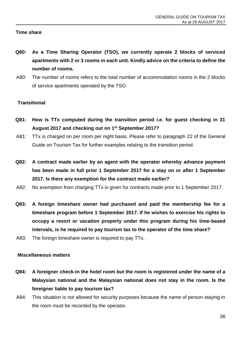#### **Time share**

- **Q80: As a Time Sharing Operator (TSO), we currently operate 2 blocks of serviced apartments with 2 or 3 rooms in each unit. Kindly advice on the criteria to define the number of rooms.**
- A80: The number of rooms refers to the total number of accommodation rooms in the 2 blocks of service apartments operated by the TSO.

#### **Transitional**

- **Q81: How is TTx computed during the transition period i.e. for guest checking in 31 August 2017 and checking out on 1st September 2017?**
- A81: TTx is charged on per room per night basis. Please refer to paragraph 22 of the General Guide on Tourism Tax for further examples relating to the transition period.
- **Q82: A contract made earlier by an agent with the operator whereby advance payment has been made in full prior 1 September 2017 for a stay on or after 1 September 2017. Is there any exemption for the contract made earlier?**
- A82: No exemption from charging TTx is given for contracts made prior to 1 September 2017.
- **Q83: A foreign timeshare owner had purchased and paid the membership fee for a timeshare program before 1 September 2017. If he wishes to exercise his rights to occupy a resort or vacation property under this program during his time-based intervals, is he required to pay tourism tax to the operator of the time share?**
- A83: The foreign timeshare owner is required to pay TTx.

#### **Miscellaneous matters**

- **Q84: A foreigner check-in the hotel room but the room is registered under the name of a Malaysian national and the Malaysian national does not stay in the room. Is the foreigner liable to pay tourism tax?**
- A84: This situation is not allowed for security purposes because the name of person staying in the room must be recorded by the operator.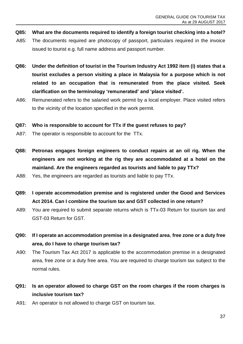- **Q85: What are the documents required to identify a foreign tourist checking into a hotel?**
- A85: The documents required are photocopy of passport, particulars required in the invoice issued to tourist e.g. full name address and passport number.
- **Q86: Under the definition of tourist in the Tourism Industry Act 1992 item (i) states that a tourist excludes a person visiting a place in Malaysia for a purpose which is not related to an occupation that is remunerated from the place visited. Seek clarification on the terminology 'remunerated' and 'place visited'.**
- A86: Remunerated refers to the salaried work permit by a local employer. Place visited refers to the vicinity of the location specified in the work permit.

#### **Q87: Who is responsible to account for TTx if the guest refuses to pay?**

- A87: The operator is responsible to account for the TTx.
- **Q88: Petronas engages foreign engineers to conduct repairs at an oil rig. When the engineers are not working at the rig they are accommodated at a hotel on the mainland. Are the engineers regarded as tourists and liable to pay TTx?**
- A88: Yes, the engineers are regarded as tourists and liable to pay TTx.
- **Q89: I operate accommodation premise and is registered under the Good and Services Act 2014. Can I combine the tourism tax and GST collected in one return?**
- A89: You are required to submit separate returns which is TTx-03 Return for tourism tax and GST-03 Return for GST.
- **Q90: If I operate an accommodation premise in a designated area**, **free zone or a duty free area, do I have to charge tourism tax?**
- A90: The Tourism Tax Act 2017 is applicable to the accommodation premise in a designated area, free zone or a duty free area. You are required to charge tourism tax subject to the normal rules.
- **Q91: Is an operator allowed to charge GST on the room charges if the room charges is inclusive tourism tax?**
- A91: An operator is not allowed to charge GST on tourism tax.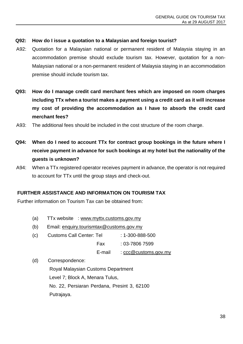#### **Q92: How do I issue a quotation to a Malaysian and foreign tourist?**

- A92: Quotation for a Malaysian national or permanent resident of Malaysia staying in an accommodation premise should exclude tourism tax. However, quotation for a non-Malaysian national or a non-permanent resident of Malaysia staying in an accommodation premise should include tourism tax.
- **Q93: How do I manage credit card merchant fees which are imposed on room charges including TTx when a tourist makes a payment using a credit card as it will increase my cost of providing the accommodation as I have to absorb the credit card merchant fees?**
- A93: The additional fees should be included in the cost structure of the room charge.
- **Q94: When do I need to account TTx for contract group bookings in the future where I receive payment in advance for such bookings at my hotel but the nationality of the guests is unknown?**
- A94: When a TTx registered operator receives payment in advance, the operator is not required to account for TTx until the group stays and check-out.

#### <span id="page-41-0"></span>**FURTHER ASSISTANCE AND INFORMATION ON TOURISM TAX**

Further information on Tourism Tax can be obtained from:

- (a) TTx website : [www.myttx.customs.gov.my](http://www.myttx.customs.gov.my/)
- (b) Email: [enquiry.tourismtax@customs.gov.my](mailto:enquiry.tourismtax@customs.gov.my)
- (c) Customs Call Center: Tel : 1-300-888-500 Fax : 03-7806 7599 E-mail : [ccc@customs.gov.my](mailto:ccc@customs.gov.my)
- (d) Correspondence:

Royal Malaysian Customs Department Level 7; Block A, Menara Tulus, No. 22, Persiaran Perdana, Presint 3, 62100 Putrajaya.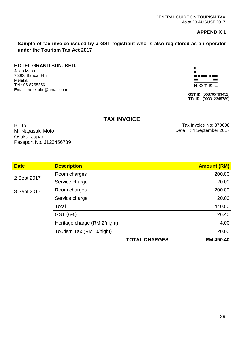**APPENDIX 1**

<span id="page-42-0"></span>**Sample of tax invoice issued by a GST registrant who is also registered as an operator under the Tourism Tax Act 2017**

#### **HOTEL GRAND SDN. BHD.**

Jalan Masa 75000 Bandar Hilir Melaka Tel : 06-8768356 Email : hotel.abc@gmail.com



**GST ID**: (008765783452) **TTx ID** : (000012345789)

#### **TAX INVOICE**

Bill to: Mr Nagasaki Moto Osaka, Japan Passport No. J123456789

Tax Invoice No: 870008 Date : 4 September 2017

| <b>Date</b> | <b>Description</b>           | <b>Amount (RM)</b> |
|-------------|------------------------------|--------------------|
|             | Room charges                 | 200.00             |
| 2 Sept 2017 | Service charge               | 20.00              |
| 3 Sept 2017 | Room charges                 | 200.00             |
|             | Service charge               | 20.00              |
|             | Total                        | 440.00             |
|             | GST (6%)                     | 26.40              |
|             | Heritage charge (RM 2/night) | 4.00               |
|             | Tourism Tax (RM10/night)     | 20.00              |
|             | <b>TOTAL CHARGES</b>         | <b>RM 490.40</b>   |